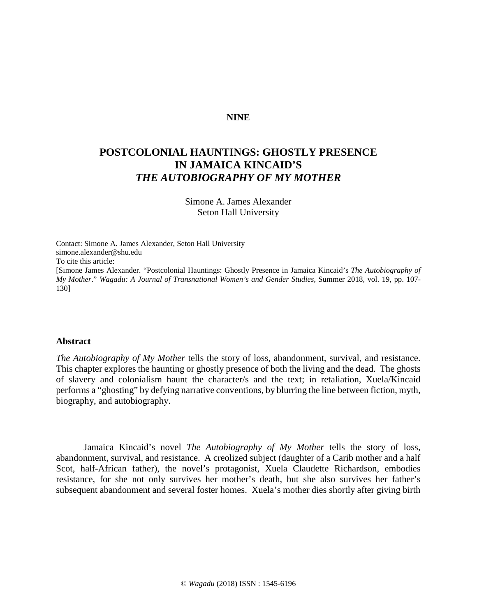### **NINE**

# **POSTCOLONIAL HAUNTINGS: GHOSTLY PRESENCE IN JAMAICA KINCAID'S** *THE AUTOBIOGRAPHY OF MY MOTHER*

Simone A. James Alexander Seton Hall University

Contact: Simone A. James Alexander, Seton Hall University [simone.alexander@shu.edu](mailto:simone.alexander@shu.edu) To cite this article: [Simone James Alexander. "Postcolonial Hauntings: Ghostly Presence in Jamaica Kincaid's *The Autobiography of My Mother*." *Wagadu: A Journal of Transnational Women's and Gender Studies,* Summer 2018, vol. 19, pp. 107- 130]

#### **Abstract**

*The Autobiography of My Mother* tells the story of loss, abandonment, survival, and resistance. This chapter explores the haunting or ghostly presence of both the living and the dead. The ghosts of slavery and colonialism haunt the character/s and the text; in retaliation, Xuela/Kincaid performs a "ghosting" by defying narrative conventions, by blurring the line between fiction, myth, biography, and autobiography.

Jamaica Kincaid's novel *The Autobiography of My Mother* tells the story of loss, abandonment, survival, and resistance. A creolized subject (daughter of a Carib mother and a half Scot, half-African father), the novel's protagonist, Xuela Claudette Richardson, embodies resistance, for she not only survives her mother's death, but she also survives her father's subsequent abandonment and several foster homes. Xuela's mother dies shortly after giving birth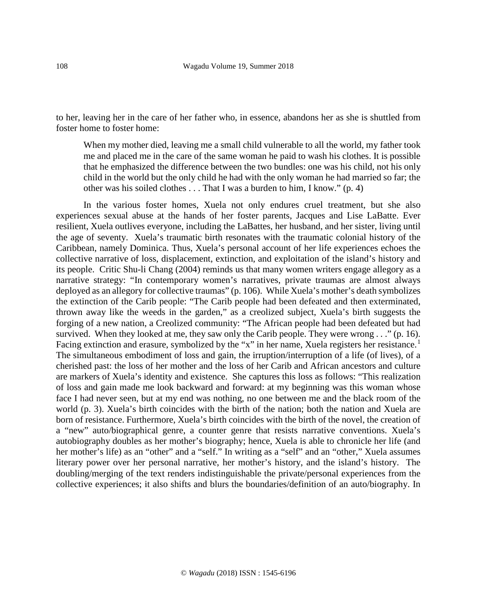to her, leaving her in the care of her father who, in essence, abandons her as she is shuttled from foster home to foster home:

When my mother died, leaving me a small child vulnerable to all the world, my father took me and placed me in the care of the same woman he paid to wash his clothes. It is possible that he emphasized the difference between the two bundles: one was his child, not his only child in the world but the only child he had with the only woman he had married so far; the other was his soiled clothes . . . That I was a burden to him, I know." (p. 4)

In the various foster homes, Xuela not only endures cruel treatment, but she also experiences sexual abuse at the hands of her foster parents, Jacques and Lise LaBatte. Ever resilient, Xuela outlives everyone, including the LaBattes, her husband, and her sister, living until the age of seventy. Xuela's traumatic birth resonates with the traumatic colonial history of the Caribbean, namely Dominica. Thus, Xuela's personal account of her life experiences echoes the collective narrative of loss, displacement, extinction, and exploitation of the island's history and its people. Critic Shu-li Chang (2004) reminds us that many women writers engage allegory as a narrative strategy: "In contemporary women's narratives, private traumas are almost always deployed as an allegory for collective traumas" (p. 106). While Xuela's mother's death symbolizes the extinction of the Carib people: "The Carib people had been defeated and then exterminated, thrown away like the weeds in the garden," as a creolized subject, Xuela's birth suggests the forging of a new nation, a Creolized community: "The African people had been defeated but had survived. When they looked at me, they saw only the Carib people. They were wrong . . ." (p. 16). Facing extinction and erasure, symbolized by the "x" in her name, Xuela registers her resistance.<sup>[1](#page-21-0)</sup> The simultaneous embodiment of loss and gain, the irruption/interruption of a life (of lives), of a cherished past: the loss of her mother and the loss of her Carib and African ancestors and culture are markers of Xuela's identity and existence. She captures this loss as follows: "This realization of loss and gain made me look backward and forward: at my beginning was this woman whose face I had never seen, but at my end was nothing, no one between me and the black room of the world (p. 3). Xuela's birth coincides with the birth of the nation; both the nation and Xuela are born of resistance. Furthermore, Xuela's birth coincides with the birth of the novel, the creation of a "new" auto/biographical genre, a counter genre that resists narrative conventions. Xuela's autobiography doubles as her mother's biography; hence, Xuela is able to chronicle her life (and her mother's life) as an "other" and a "self." In writing as a "self" and an "other," Xuela assumes literary power over her personal narrative, her mother's history, and the island's history. The doubling/merging of the text renders indistinguishable the private/personal experiences from the collective experiences; it also shifts and blurs the boundaries/definition of an auto/biography. In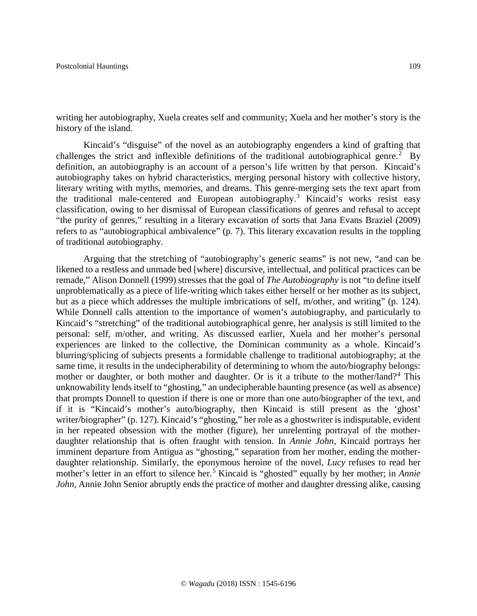writing her autobiography, Xuela creates self and community; Xuela and her mother's story is the history of the island.

Kincaid's "disguise" of the novel as an autobiography engenders a kind of grafting that challenges the strict and inflexible definitions of the traditional autobiographical genre.<sup>[2](#page-21-1)</sup> By definition, an autobiography is an account of a person's life written by that person. Kincaid's autobiography takes on hybrid characteristics, merging personal history with collective history, literary writing with myths, memories, and dreams. This genre-merging sets the text apart from the traditional male-centered and European autobiography.<sup>[3](#page-21-2)</sup> Kincaid's works resist easy classification*,* owing to her dismissal of European classifications of genres and refusal to accept "the purity of genres," resulting in a literary excavation of sorts that Jana Evans Braziel (2009) refers to as "autobiographical ambivalence" (p. 7). This literary excavation results in the toppling of traditional autobiography.

Arguing that the stretching of "autobiography's generic seams" is not new, "and can be likened to a restless and unmade bed [where] discursive, intellectual, and political practices can be remade," Alison Donnell (1999) stresses that the goal of *The Autobiography* is not "to define itself unproblematically as a piece of life-writing which takes either herself or her mother as its subject, but as a piece which addresses the multiple imbrications of self, m/other, and writing" (p. 124). While Donnell calls attention to the importance of women's autobiography, and particularly to Kincaid's "stretching" of the traditional autobiographical genre, her analysis is still limited to the personal: self, m/other, and writing. As discussed earlier, Xuela and her mother's personal experiences are linked to the collective, the Dominican community as a whole. Kincaid's blurring/splicing of subjects presents a formidable challenge to traditional autobiography; at the same time, it results in the undecipherability of determining to whom the auto/biography belongs: mother or daughter, or both mother and daughter. Or is it a tribute to the mother/land?<sup>[4](#page-21-3)</sup> This unknowability lends itself to "ghosting," an undecipherable haunting presence (as well as absence) that prompts Donnell to question if there is one or more than one auto/biographer of the text, and if it is "Kincaid's mother's auto/biography, then Kincaid is still present as the 'ghost' writer/biographer" (p. 127). Kincaid's "ghosting," her role as a ghostwriter is indisputable, evident in her repeated obsession with the mother (figure), her unrelenting portrayal of the motherdaughter relationship that is often fraught with tension. In *Annie John*, Kincaid portrays her imminent departure from Antigua as "ghosting," separation from her mother, ending the motherdaughter relationship. Similarly, the eponymous heroine of the novel, *Lucy* refuses to read her mother's letter in an effort to silence her.[5](#page-21-4) Kincaid is "ghosted" equally by her mother; in *Annie John*, Annie John Senior abruptly ends the practice of mother and daughter dressing alike, causing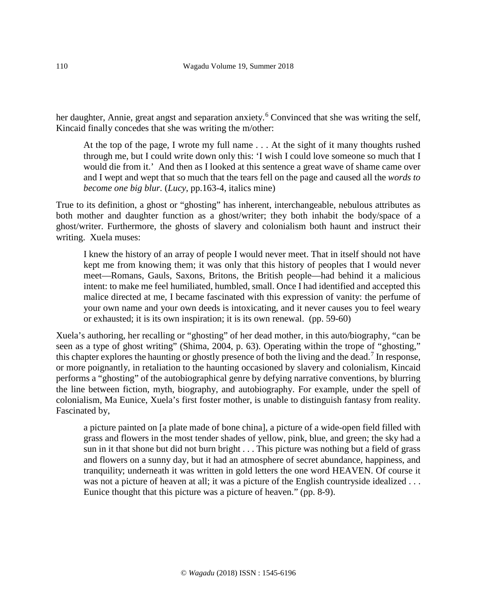her daughter, Annie, great angst and separation anxiety.<sup>[6](#page-21-5)</sup> Convinced that she was writing the self, Kincaid finally concedes that she was writing the m/other:

At the top of the page, I wrote my full name . . . At the sight of it many thoughts rushed through me, but I could write down only this: 'I wish I could love someone so much that I would die from it.' And then as I looked at this sentence a great wave of shame came over and I wept and wept that so much that the tears fell on the page and caused all the *words to become one big blur.* (*Lucy*, pp.163-4, italics mine)

True to its definition, a ghost or "ghosting" has inherent, interchangeable, nebulous attributes as both mother and daughter function as a ghost/writer; they both inhabit the body/space of a ghost/writer. Furthermore, the ghosts of slavery and colonialism both haunt and instruct their writing. Xuela muses:

I knew the history of an array of people I would never meet. That in itself should not have kept me from knowing them; it was only that this history of peoples that I would never meet—Romans, Gauls, Saxons, Britons, the British people—had behind it a malicious intent: to make me feel humiliated, humbled, small. Once I had identified and accepted this malice directed at me, I became fascinated with this expression of vanity: the perfume of your own name and your own deeds is intoxicating, and it never causes you to feel weary or exhausted; it is its own inspiration; it is its own renewal. (pp. 59-60)

Xuela's authoring, her recalling or "ghosting" of her dead mother, in this auto/biography, "can be seen as a type of ghost writing" (Shima, 2004, p. 63). Operating within the trope of "ghosting," this chapter explores the haunting or ghostly presence of both the living and the dead.<sup>[7](#page-21-6)</sup> In response, or more poignantly, in retaliation to the haunting occasioned by slavery and colonialism, Kincaid performs a "ghosting" of the autobiographical genre by defying narrative conventions, by blurring the line between fiction, myth, biography, and autobiography. For example, under the spell of colonialism, Ma Eunice, Xuela's first foster mother, is unable to distinguish fantasy from reality. Fascinated by,

a picture painted on [a plate made of bone china], a picture of a wide-open field filled with grass and flowers in the most tender shades of yellow, pink, blue, and green; the sky had a sun in it that shone but did not burn bright . . . This picture was nothing but a field of grass and flowers on a sunny day, but it had an atmosphere of secret abundance, happiness, and tranquility; underneath it was written in gold letters the one word HEAVEN. Of course it was not a picture of heaven at all; it was a picture of the English countryside idealized . . . Eunice thought that this picture was a picture of heaven." (pp. 8-9).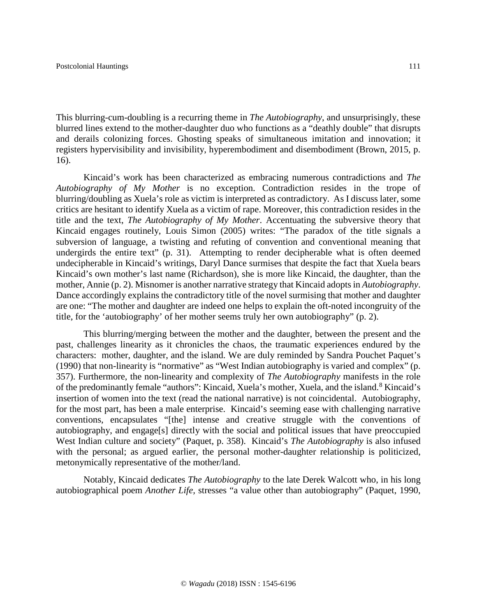This blurring-cum-doubling is a recurring theme in *The Autobiography*, and unsurprisingly, these blurred lines extend to the mother-daughter duo who functions as a "deathly double" that disrupts and derails colonizing forces. Ghosting speaks of simultaneous imitation and innovation; it registers hypervisibility and invisibility, hyperembodiment and disembodiment (Brown, 2015, p. 16).

Kincaid's work has been characterized as embracing numerous contradictions and *The Autobiography of My Mother* is no exception. Contradiction resides in the trope of blurring/doubling as Xuela's role as victim is interpreted as contradictory. As I discuss later, some critics are hesitant to identify Xuela as a victim of rape. Moreover, this contradiction resides in the title and the text, *The Autobiography of My Mother*. Accentuating the subversive theory that Kincaid engages routinely, Louis Simon (2005) writes: "The paradox of the title signals a subversion of language, a twisting and refuting of convention and conventional meaning that undergirds the entire text" (p. 31). Attempting to render decipherable what is often deemed undecipherable in Kincaid's writings, Daryl Dance surmises that despite the fact that Xuela bears Kincaid's own mother's last name (Richardson), she is more like Kincaid, the daughter, than the mother, Annie (p. 2). Misnomer is another narrative strategy that Kincaid adopts in *Autobiography*. Dance accordingly explains the contradictory title of the novel surmising that mother and daughter are one: "The mother and daughter are indeed one helps to explain the oft-noted incongruity of the title, for the 'autobiography' of her mother seems truly her own autobiography" (p. 2).

This blurring/merging between the mother and the daughter, between the present and the past, challenges linearity as it chronicles the chaos, the traumatic experiences endured by the characters: mother, daughter, and the island. We are duly reminded by Sandra Pouchet Paquet's (1990) that non-linearity is "normative" as "West Indian autobiography is varied and complex" (p. 357). Furthermore, the non-linearity and complexity of *The Autobiography* manifests in the role of the predominantly female "authors": Kincaid, Xuela's mother, Xuela, and the island.<sup>[8](#page-21-7)</sup> Kincaid's insertion of women into the text (read the national narrative) is not coincidental. Autobiography, for the most part, has been a male enterprise. Kincaid's seeming ease with challenging narrative conventions, encapsulates "[the] intense and creative struggle with the conventions of autobiography, and engage[s] directly with the social and political issues that have preoccupied West Indian culture and society" (Paquet, p. 358). Kincaid's *The Autobiography* is also infused with the personal; as argued earlier, the personal mother-daughter relationship is politicized, metonymically representative of the mother/land.

Notably, Kincaid dedicates *The Autobiography* to the late Derek Walcott who, in his long autobiographical poem *Another Life,* stresses "a value other than autobiography" (Paquet, 1990,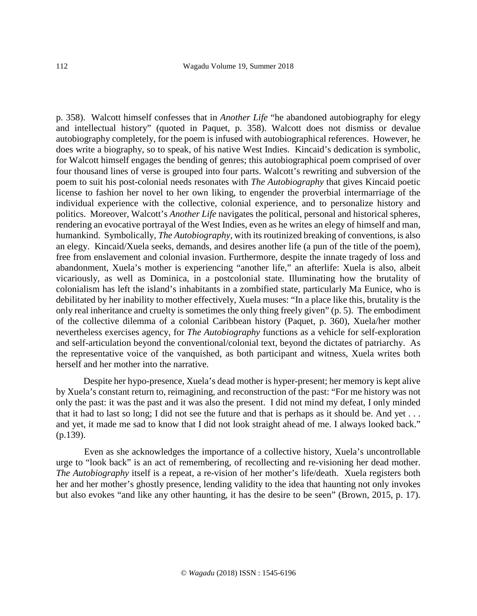p. 358). Walcott himself confesses that in *Another Life* "he abandoned autobiography for elegy and intellectual history" (quoted in Paquet, p. 358). Walcott does not dismiss or devalue autobiography completely, for the poem is infused with autobiographical references. However, he does write a biography, so to speak, of his native West Indies. Kincaid's dedication is symbolic, for Walcott himself engages the bending of genres; this autobiographical poem comprised of over four thousand lines of verse is grouped into four parts. Walcott's rewriting and subversion of the poem to suit his post-colonial needs resonates with *The Autobiography* that gives Kincaid poetic license to fashion her novel to her own liking, to engender the proverbial intermarriage of the individual experience with the collective, colonial experience, and to personalize history and politics. Moreover, Walcott's *Another Life* navigates the political, personal and historical spheres, rendering an evocative portrayal of the West Indies, even as he writes an elegy of himself and man, humankind. Symbolically, *The Autobiography*, with its routinized breaking of conventions, is also an elegy. Kincaid/Xuela seeks, demands, and desires another life (a pun of the title of the poem), free from enslavement and colonial invasion. Furthermore, despite the innate tragedy of loss and abandonment, Xuela's mother is experiencing "another life," an afterlife: Xuela is also, albeit vicariously, as well as Dominica, in a postcolonial state. Illuminating how the brutality of colonialism has left the island's inhabitants in a zombified state, particularly Ma Eunice, who is debilitated by her inability to mother effectively, Xuela muses: "In a place like this, brutality is the only real inheritance and cruelty is sometimes the only thing freely given" (p. 5). The embodiment of the collective dilemma of a colonial Caribbean history (Paquet, p. 360), Xuela/her mother nevertheless exercises agency, for *The Autobiography* functions as a vehicle for self-exploration and self-articulation beyond the conventional/colonial text, beyond the dictates of patriarchy. As the representative voice of the vanquished, as both participant and witness, Xuela writes both herself and her mother into the narrative.

Despite her hypo-presence, Xuela's dead mother is hyper-present; her memory is kept alive by Xuela's constant return to, reimagining, and reconstruction of the past: "For me history was not only the past: it was the past and it was also the present. I did not mind my defeat, I only minded that it had to last so long; I did not see the future and that is perhaps as it should be. And yet . . . and yet, it made me sad to know that I did not look straight ahead of me. I always looked back." (p.139).

Even as she acknowledges the importance of a collective history, Xuela's uncontrollable urge to "look back" is an act of remembering, of recollecting and re-visioning her dead mother. *The Autobiography* itself is a repeat, a re-vision of her mother's life/death. Xuela registers both her and her mother's ghostly presence, lending validity to the idea that haunting not only invokes but also evokes "and like any other haunting, it has the desire to be seen" (Brown, 2015, p. 17).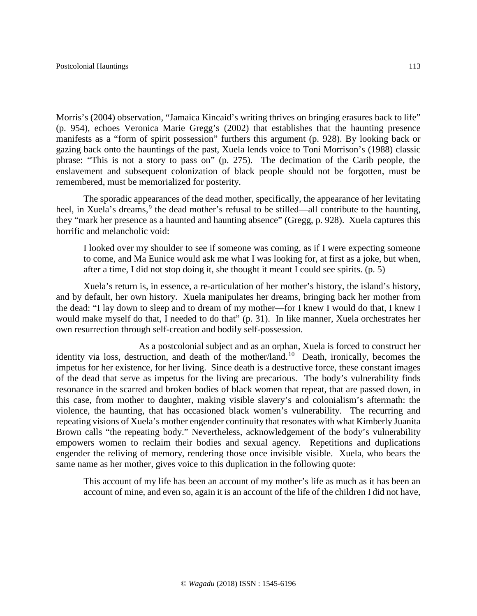Morris's (2004) observation, "Jamaica Kincaid's writing thrives on bringing erasures back to life" (p. 954), echoes Veronica Marie Gregg's (2002) that establishes that the haunting presence manifests as a "form of spirit possession" furthers this argument (p. 928). By looking back or gazing back onto the hauntings of the past, Xuela lends voice to Toni Morrison's (1988) classic phrase: "This is not a story to pass on" (p. 275). The decimation of the Carib people, the enslavement and subsequent colonization of black people should not be forgotten, must be remembered, must be memorialized for posterity.

The sporadic appearances of the dead mother, specifically, the appearance of her levitating heel, in Xuela's dreams,<sup>[9](#page-21-8)</sup> the dead mother's refusal to be stilled—all contribute to the haunting, they "mark her presence as a haunted and haunting absence" (Gregg, p. 928). Xuela captures this horrific and melancholic void:

I looked over my shoulder to see if someone was coming, as if I were expecting someone to come, and Ma Eunice would ask me what I was looking for, at first as a joke, but when, after a time, I did not stop doing it, she thought it meant I could see spirits. (p. 5)

Xuela's return is, in essence, a re-articulation of her mother's history, the island's history, and by default, her own history. Xuela manipulates her dreams, bringing back her mother from the dead: "I lay down to sleep and to dream of my mother—for I knew I would do that, I knew I would make myself do that, I needed to do that" (p. 31). In like manner, Xuela orchestrates her own resurrection through self-creation and bodily self-possession.

As a postcolonial subject and as an orphan, Xuela is forced to construct her identity via loss, destruction, and death of the mother/land.[10](#page-21-9)Death, ironically, becomes the impetus for her existence, for her living. Since death is a destructive force, these constant images of the dead that serve as impetus for the living are precarious. The body's vulnerability finds resonance in the scarred and broken bodies of black women that repeat, that are passed down, in this case, from mother to daughter, making visible slavery's and colonialism's aftermath: the violence, the haunting, that has occasioned black women's vulnerability. The recurring and repeating visions of Xuela's mother engender continuity that resonates with what Kimberly Juanita Brown calls "the repeating body." Nevertheless, acknowledgement of the body's vulnerability empowers women to reclaim their bodies and sexual agency. Repetitions and duplications engender the reliving of memory, rendering those once invisible visible. Xuela, who bears the same name as her mother, gives voice to this duplication in the following quote:

This account of my life has been an account of my mother's life as much as it has been an account of mine, and even so, again it is an account of the life of the children I did not have,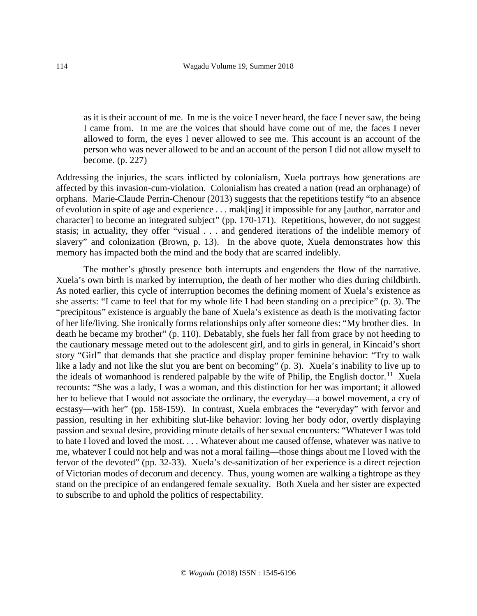as it is their account of me. In me is the voice I never heard, the face I never saw, the being I came from. In me are the voices that should have come out of me, the faces I never allowed to form, the eyes I never allowed to see me. This account is an account of the person who was never allowed to be and an account of the person I did not allow myself to become. (p. 227)

Addressing the injuries, the scars inflicted by colonialism, Xuela portrays how generations are affected by this invasion-cum-violation. Colonialism has created a nation (read an orphanage) of orphans. Marie-Claude Perrin-Chenour (2013) suggests that the repetitions testify "to an absence of evolution in spite of age and experience . . . mak[ing] it impossible for any [author, narrator and character] to become an integrated subject" (pp. 170-171). Repetitions, however, do not suggest stasis; in actuality, they offer "visual . . . and gendered iterations of the indelible memory of slavery" and colonization (Brown, p. 13).In the above quote, Xuela demonstrates how this memory has impacted both the mind and the body that are scarred indelibly.

The mother's ghostly presence both interrupts and engenders the flow of the narrative. Xuela's own birth is marked by interruption, the death of her mother who dies during childbirth. As noted earlier, this cycle of interruption becomes the defining moment of Xuela's existence as she asserts: "I came to feel that for my whole life I had been standing on a precipice" (p. 3). The "precipitous" existence is arguably the bane of Xuela's existence as death is the motivating factor of her life/living. She ironically forms relationships only after someone dies: "My brother dies. In death he became my brother" (p. 110). Debatably, she fuels her fall from grace by not heeding to the cautionary message meted out to the adolescent girl, and to girls in general, in Kincaid's short story "Girl" that demands that she practice and display proper feminine behavior: "Try to walk like a lady and not like the slut you are bent on becoming" (p. 3). Xuela's inability to live up to the ideals of womanhood is rendered palpable by the wife of Philip, the English doctor.<sup>11</sup> Xuela recounts: "She was a lady, I was a woman, and this distinction for her was important; it allowed her to believe that I would not associate the ordinary, the everyday—a bowel movement, a cry of ecstasy—with her" (pp. 158-159). In contrast, Xuela embraces the "everyday" with fervor and passion, resulting in her exhibiting slut-like behavior: loving her body odor, overtly displaying passion and sexual desire, providing minute details of her sexual encounters: "Whatever I was told to hate I loved and loved the most. . . . Whatever about me caused offense, whatever was native to me, whatever I could not help and was not a moral failing—those things about me I loved with the fervor of the devoted" (pp. 32-33). Xuela's de-sanitization of her experience is a direct rejection of Victorian modes of decorum and decency. Thus, young women are walking a tightrope as they stand on the precipice of an endangered female sexuality. Both Xuela and her sister are expected to subscribe to and uphold the politics of respectability.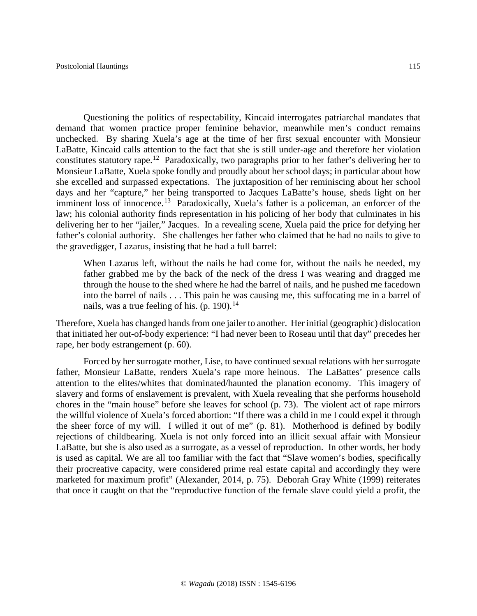Questioning the politics of respectability, Kincaid interrogates patriarchal mandates that demand that women practice proper feminine behavior, meanwhile men's conduct remains unchecked. By sharing Xuela's age at the time of her first sexual encounter with Monsieur LaBatte, Kincaid calls attention to the fact that she is still under-age and therefore her violation constitutes statutory rape.[12](#page-21-11) Paradoxically, two paragraphs prior to her father's delivering her to Monsieur LaBatte, Xuela spoke fondly and proudly about her school days; in particular about how she excelled and surpassed expectations. The juxtaposition of her reminiscing about her school days and her "capture," her being transported to Jacques LaBatte's house, sheds light on her imminent loss of innocence.<sup>[13](#page-22-0)</sup> Paradoxically, Xuela's father is a policeman, an enforcer of the law; his colonial authority finds representation in his policing of her body that culminates in his delivering her to her "jailer," Jacques. In a revealing scene, Xuela paid the price for defying her father's colonial authority. She challenges her father who claimed that he had no nails to give to the gravedigger, Lazarus, insisting that he had a full barrel:

When Lazarus left, without the nails he had come for, without the nails he needed, my father grabbed me by the back of the neck of the dress I was wearing and dragged me through the house to the shed where he had the barrel of nails, and he pushed me facedown into the barrel of nails . . . This pain he was causing me, this suffocating me in a barrel of nails, was a true feeling of his. (p. 190).<sup>[14](#page-22-1)</sup>

Therefore, Xuela has changed hands from one jailer to another. Her initial (geographic) dislocation that initiated her out-of-body experience: "I had never been to Roseau until that day" precedes her rape, her body estrangement (p. 60).

Forced by her surrogate mother, Lise, to have continued sexual relations with her surrogate father, Monsieur LaBatte, renders Xuela's rape more heinous. The LaBattes' presence calls attention to the elites/whites that dominated/haunted the planation economy. This imagery of slavery and forms of enslavement is prevalent, with Xuela revealing that she performs household chores in the "main house" before she leaves for school (p. 73). The violent act of rape mirrors the willful violence of Xuela's forced abortion: "If there was a child in me I could expel it through the sheer force of my will. I willed it out of me" (p. 81). Motherhood is defined by bodily rejections of childbearing. Xuela is not only forced into an illicit sexual affair with Monsieur LaBatte, but she is also used as a surrogate, as a vessel of reproduction. In other words, her body is used as capital. We are all too familiar with the fact that "Slave women's bodies, specifically their procreative capacity, were considered prime real estate capital and accordingly they were marketed for maximum profit" (Alexander, 2014, p. 75). Deborah Gray White (1999) reiterates that once it caught on that the "reproductive function of the female slave could yield a profit, the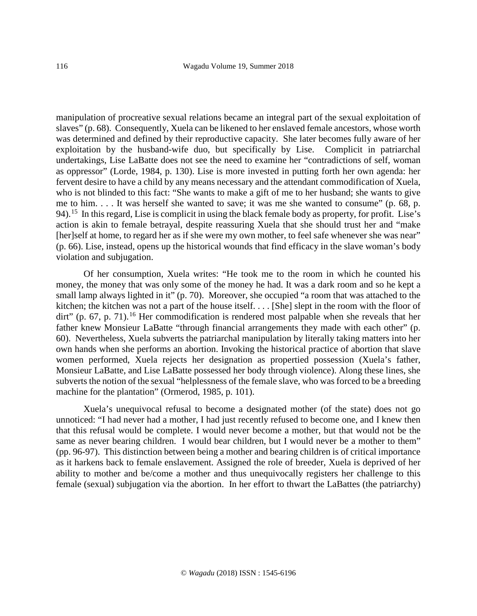manipulation of procreative sexual relations became an integral part of the sexual exploitation of slaves" (p. 68). Consequently, Xuela can be likened to her enslaved female ancestors, whose worth was determined and defined by their reproductive capacity. She later becomes fully aware of her exploitation by the husband-wife duo, but specifically by Lise. Complicit in patriarchal undertakings, Lise LaBatte does not see the need to examine her "contradictions of self, woman as oppressor" (Lorde, 1984, p. 130). Lise is more invested in putting forth her own agenda: her fervent desire to have a child by any means necessary and the attendant commodification of Xuela, who is not blinded to this fact: "She wants to make a gift of me to her husband; she wants to give me to him. . . . It was herself she wanted to save; it was me she wanted to consume" (p. 68, p. 94).<sup>15</sup> In this regard, Lise is complicit in using the black female body as property, for profit. Lise's action is akin to female betrayal, despite reassuring Xuela that she should trust her and "make [her]self at home, to regard her as if she were my own mother, to feel safe whenever she was near" (p. 66). Lise, instead, opens up the historical wounds that find efficacy in the slave woman's body violation and subjugation.

Of her consumption, Xuela writes: "He took me to the room in which he counted his money, the money that was only some of the money he had. It was a dark room and so he kept a small lamp always lighted in it" (p. 70). Moreover, she occupied "a room that was attached to the kitchen; the kitchen was not a part of the house itself. . . . [She] slept in the room with the floor of dirt" (p. 67, p. 71).<sup>[16](#page-22-3)</sup> Her commodification is rendered most palpable when she reveals that her father knew Monsieur LaBatte "through financial arrangements they made with each other" (p. 60). Nevertheless, Xuela subverts the patriarchal manipulation by literally taking matters into her own hands when she performs an abortion. Invoking the historical practice of abortion that slave women performed, Xuela rejects her designation as propertied possession (Xuela's father, Monsieur LaBatte, and Lise LaBatte possessed her body through violence). Along these lines, she subverts the notion of the sexual "helplessness of the female slave, who was forced to be a breeding machine for the plantation" (Ormerod, 1985, p. 101).

Xuela's unequivocal refusal to become a designated mother (of the state) does not go unnoticed: "I had never had a mother, I had just recently refused to become one, and I knew then that this refusal would be complete. I would never become a mother, but that would not be the same as never bearing children. I would bear children, but I would never be a mother to them" (pp. 96-97). This distinction between being a mother and bearing children is of critical importance as it harkens back to female enslavement. Assigned the role of breeder, Xuela is deprived of her ability to mother and be/come a mother and thus unequivocally registers her challenge to this female (sexual) subjugation via the abortion. In her effort to thwart the LaBattes (the patriarchy)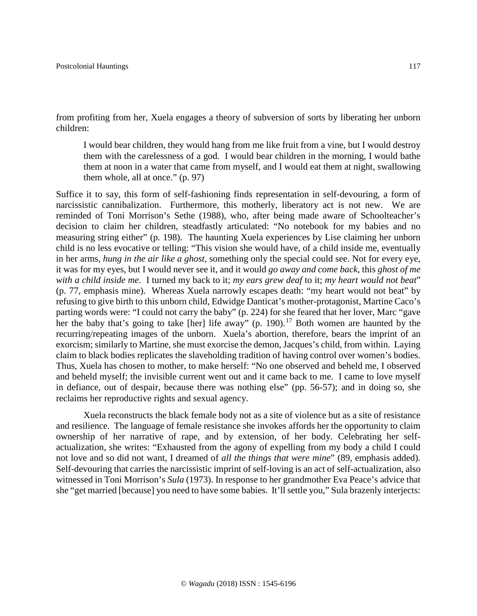from profiting from her, Xuela engages a theory of subversion of sorts by liberating her unborn children:

I would bear children, they would hang from me like fruit from a vine, but I would destroy them with the carelessness of a god. I would bear children in the morning, I would bathe them at noon in a water that came from myself, and I would eat them at night, swallowing them whole, all at once." (p. 97)

Suffice it to say, this form of self-fashioning finds representation in self-devouring, a form of narcissistic cannibalization. Furthermore, this motherly, liberatory act is not new. We are reminded of Toni Morrison's Sethe (1988), who, after being made aware of Schoolteacher's decision to claim her children, steadfastly articulated: "No notebook for my babies and no measuring string either" (p. 198). The haunting Xuela experiences by Lise claiming her unborn child is no less evocative or telling: "This vision she would have, of a child inside me, eventually in her arms, *hung in the air like a ghost*, something only the special could see. Not for every eye, it was for my eyes, but I would never see it, and it would *go away and come back*, this *ghost of me with a child inside me*. I turned my back to it; *my ears grew deaf* to it; *my heart would not beat*" (p. 77, emphasis mine). Whereas Xuela narrowly escapes death: "my heart would not beat" by refusing to give birth to this unborn child, Edwidge Danticat's mother-protagonist, Martine Caco's parting words were: "I could not carry the baby" (p. 224) for she feared that her lover, Marc "gave her the baby that's going to take [her] life away" (p. 190).<sup>[17](#page-22-4)</sup> Both women are haunted by the recurring/repeating images of the unborn. Xuela's abortion, therefore, bears the imprint of an exorcism; similarly to Martine, she must exorcise the demon, Jacques's child, from within. Laying claim to black bodies replicates the slaveholding tradition of having control over women's bodies. Thus, Xuela has chosen to mother, to make herself: "No one observed and beheld me, I observed and beheld myself; the invisible current went out and it came back to me. I came to love myself in defiance, out of despair, because there was nothing else" (pp. 56-57); and in doing so, she reclaims her reproductive rights and sexual agency.

Xuela reconstructs the black female body not as a site of violence but as a site of resistance and resilience. The language of female resistance she invokes affords her the opportunity to claim ownership of her narrative of rape, and by extension, of her body. Celebrating her selfactualization, she writes: "Exhausted from the agony of expelling from my body a child I could not love and so did not want, I dreamed of *all the things that were mine*" (89, emphasis added). Self-devouring that carries the narcissistic imprint of self-loving is an act of self-actualization, also witnessed in Toni Morrison's *Sula* (1973). In response to her grandmother Eva Peace's advice that she "get married [because] you need to have some babies. It'll settle you," Sula brazenly interjects: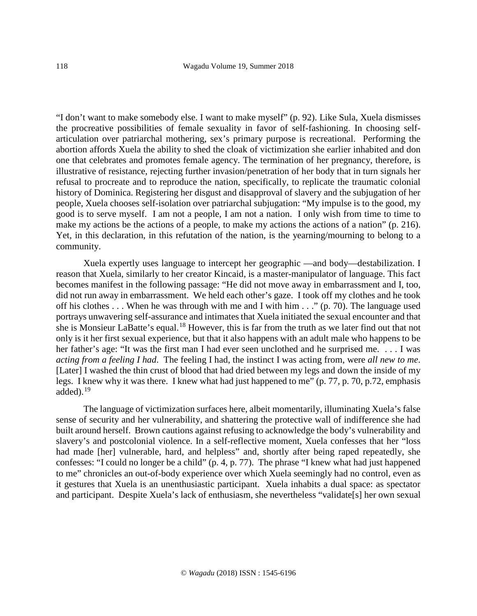"I don't want to make somebody else. I want to make myself" (p. 92). Like Sula, Xuela dismisses the procreative possibilities of female sexuality in favor of self-fashioning. In choosing selfarticulation over patriarchal mothering, sex's primary purpose is recreational. Performing the abortion affords Xuela the ability to shed the cloak of victimization she earlier inhabited and don one that celebrates and promotes female agency. The termination of her pregnancy, therefore, is illustrative of resistance, rejecting further invasion/penetration of her body that in turn signals her refusal to procreate and to reproduce the nation, specifically, to replicate the traumatic colonial history of Dominica. Registering her disgust and disapproval of slavery and the subjugation of her people, Xuela chooses self-isolation over patriarchal subjugation: "My impulse is to the good, my good is to serve myself. I am not a people, I am not a nation. I only wish from time to time to make my actions be the actions of a people, to make my actions the actions of a nation" (p. 216). Yet, in this declaration, in this refutation of the nation, is the yearning/mourning to belong to a community.

Xuela expertly uses language to intercept her geographic —and body—destabilization. I reason that Xuela, similarly to her creator Kincaid, is a master-manipulator of language. This fact becomes manifest in the following passage: "He did not move away in embarrassment and I, too, did not run away in embarrassment. We held each other's gaze. I took off my clothes and he took off his clothes . . . When he was through with me and I with him . . ." (p. 70). The language used portrays unwavering self-assurance and intimates that Xuela initiated the sexual encounter and that she is Monsieur LaBatte's equal.<sup>[18](#page-22-5)</sup> However, this is far from the truth as we later find out that not only is it her first sexual experience, but that it also happens with an adult male who happens to be her father's age: "It was the first man I had ever seen unclothed and he surprised me. . . . I was *acting from a feeling I had*. The feeling I had, the instinct I was acting from, were *all new to me*. [Later] I washed the thin crust of blood that had dried between my legs and down the inside of my legs. I knew why it was there. I knew what had just happened to me" (p. 77, p. 70, p.72, emphasis added). $19$ 

The language of victimization surfaces here, albeit momentarily, illuminating Xuela's false sense of security and her vulnerability, and shattering the protective wall of indifference she had built around herself. Brown cautions against refusing to acknowledge the body's vulnerability and slavery's and postcolonial violence. In a self-reflective moment, Xuela confesses that her "loss had made [her] vulnerable, hard, and helpless" and, shortly after being raped repeatedly, she confesses: "I could no longer be a child" (p. 4, p. 77). The phrase "I knew what had just happened to me" chronicles an out-of-body experience over which Xuela seemingly had no control, even as it gestures that Xuela is an unenthusiastic participant. Xuela inhabits a dual space: as spectator and participant. Despite Xuela's lack of enthusiasm, she nevertheless "validate[s] her own sexual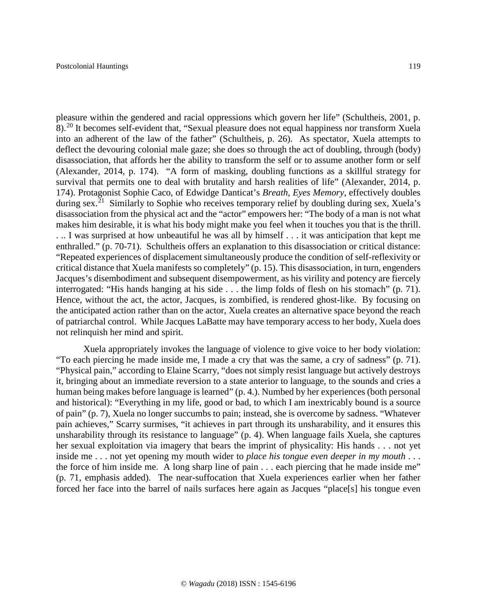pleasure within the gendered and racial oppressions which govern her life" (Schultheis, 2001, p. 8).[20](#page-22-7) It becomes self-evident that, "Sexual pleasure does not equal happiness nor transform Xuela into an adherent of the law of the father" (Schultheis, p. 26). As spectator, Xuela attempts to deflect the devouring colonial male gaze; she does so through the act of doubling, through (body) disassociation, that affords her the ability to transform the self or to assume another form or self (Alexander, 2014, p. 174). "A form of masking, doubling functions as a skillful strategy for survival that permits one to deal with brutality and harsh realities of life" (Alexander, 2014, p. 174). Protagonist Sophie Caco, of Edwidge Danticat's *Breath, Eyes Memory*, effectively doubles during sex.<sup>[21](#page-22-8)</sup> Similarly to Sophie who receives temporary relief by doubling during sex, Xuela's disassociation from the physical act and the "actor" empowers her: "The body of a man is not what makes him desirable, it is what his body might make you feel when it touches you that is the thrill. . .. I was surprised at how unbeautiful he was all by himself . . . it was anticipation that kept me enthralled." (p. 70-71). Schultheis offers an explanation to this disassociation or critical distance: "Repeated experiences of displacement simultaneously produce the condition of self-reflexivity or critical distance that Xuela manifests so completely" (p. 15). This disassociation, in turn, engenders Jacques's disembodiment and subsequent disempowerment, as his virility and potency are fiercely interrogated: "His hands hanging at his side . . . the limp folds of flesh on his stomach" (p. 71). Hence, without the act, the actor, Jacques, is zombified, is rendered ghost-like. By focusing on the anticipated action rather than on the actor, Xuela creates an alternative space beyond the reach of patriarchal control. While Jacques LaBatte may have temporary access to her body, Xuela does not relinquish her mind and spirit.

Xuela appropriately invokes the language of violence to give voice to her body violation: "To each piercing he made inside me, I made a cry that was the same, a cry of sadness" (p. 71). "Physical pain," according to Elaine Scarry, "does not simply resist language but actively destroys it, bringing about an immediate reversion to a state anterior to language, to the sounds and cries a human being makes before language is learned" (p. 4.). Numbed by her experiences (both personal and historical): "Everything in my life, good or bad, to which I am inextricably bound is a source of pain" (p. 7), Xuela no longer succumbs to pain; instead, she is overcome by sadness. "Whatever pain achieves," Scarry surmises, "it achieves in part through its unsharability, and it ensures this unsharability through its resistance to language" (p. 4). When language fails Xuela, she captures her sexual exploitation via imagery that bears the imprint of physicality: His hands . . . not yet inside me . . . not yet opening my mouth wider to *place his tongue even deeper in my mouth* . . . the force of him inside me. A long sharp line of pain . . . each piercing that he made inside me" (p. 71, emphasis added). The near-suffocation that Xuela experiences earlier when her father forced her face into the barrel of nails surfaces here again as Jacques "place[s] his tongue even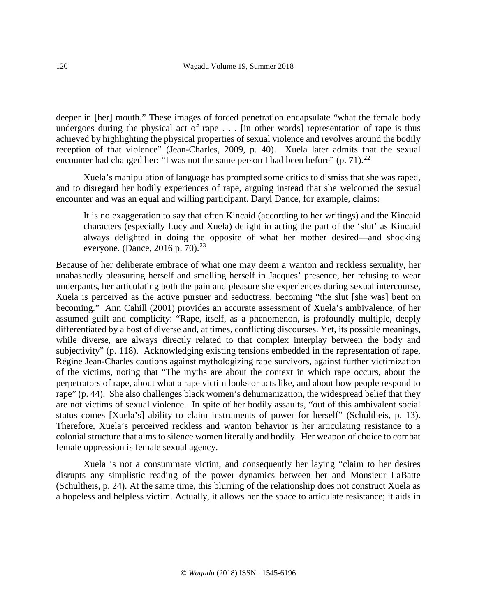deeper in [her] mouth." These images of forced penetration encapsulate "what the female body undergoes during the physical act of rape . . . [in other words] representation of rape is thus achieved by highlighting the physical properties of sexual violence and revolves around the bodily reception of that violence" (Jean-Charles, 2009, p. 40). Xuela later admits that the sexual encounter had changed her: "I was not the same person I had been before" (p. 71).<sup>22</sup>

Xuela's manipulation of language has prompted some critics to dismiss that she was raped, and to disregard her bodily experiences of rape, arguing instead that she welcomed the sexual encounter and was an equal and willing participant. Daryl Dance, for example, claims:

It is no exaggeration to say that often Kincaid (according to her writings) and the Kincaid characters (especially Lucy and Xuela) delight in acting the part of the 'slut' as Kincaid always delighted in doing the opposite of what her mother desired—and shocking everyone. (Dance, 2016 p. 70).<sup>23</sup>

Because of her deliberate embrace of what one may deem a wanton and reckless sexuality, her unabashedly pleasuring herself and smelling herself in Jacques' presence, her refusing to wear underpants, her articulating both the pain and pleasure she experiences during sexual intercourse, Xuela is perceived as the active pursuer and seductress, becoming "the slut [she was] bent on becoming." Ann Cahill (2001) provides an accurate assessment of Xuela's ambivalence, of her assumed guilt and complicity: "Rape, itself, as a phenomenon, is profoundly multiple, deeply differentiated by a host of diverse and, at times, conflicting discourses. Yet, its possible meanings, while diverse, are always directly related to that complex interplay between the body and subjectivity" (p. 118). Acknowledging existing tensions embedded in the representation of rape, Régine Jean-Charles cautions against mythologizing rape survivors, against further victimization of the victims, noting that "The myths are about the context in which rape occurs, about the perpetrators of rape, about what a rape victim looks or acts like, and about how people respond to rape" (p. 44). She also challenges black women's dehumanization, the widespread belief that they are not victims of sexual violence. In spite of her bodily assaults, "out of this ambivalent social status comes [Xuela's] ability to claim instruments of power for herself" (Schultheis, p. 13). Therefore, Xuela's perceived reckless and wanton behavior is her articulating resistance to a colonial structure that aims to silence women literally and bodily. Her weapon of choice to combat female oppression is female sexual agency.

Xuela is not a consummate victim, and consequently her laying "claim to her desires disrupts any simplistic reading of the power dynamics between her and Monsieur LaBatte (Schultheis, p. 24). At the same time, this blurring of the relationship does not construct Xuela as a hopeless and helpless victim. Actually, it allows her the space to articulate resistance; it aids in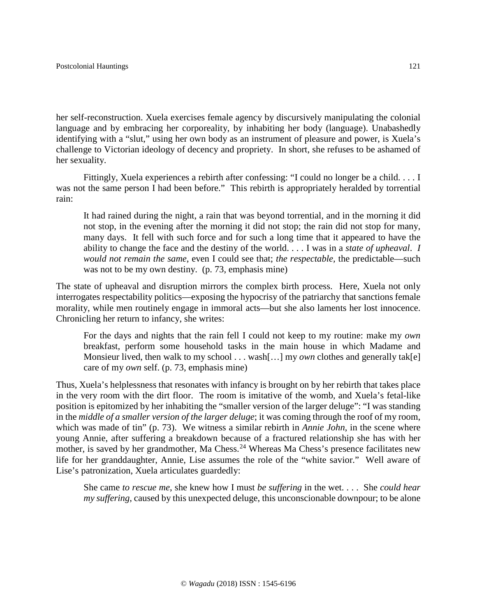her self-reconstruction. Xuela exercises female agency by discursively manipulating the colonial language and by embracing her corporeality, by inhabiting her body (language). Unabashedly identifying with a "slut," using her own body as an instrument of pleasure and power, is Xuela's challenge to Victorian ideology of decency and propriety. In short, she refuses to be ashamed of her sexuality.

Fittingly, Xuela experiences a rebirth after confessing: "I could no longer be a child. . . . I was not the same person I had been before." This rebirth is appropriately heralded by torrential rain:

It had rained during the night, a rain that was beyond torrential, and in the morning it did not stop, in the evening after the morning it did not stop; the rain did not stop for many, many days. It fell with such force and for such a long time that it appeared to have the ability to change the face and the destiny of the world. . . . I was in a *state of upheaval*. *I would not remain the same*, even I could see that; *the respectable,* the predictable—such was not to be my own destiny. (p. 73, emphasis mine)

The state of upheaval and disruption mirrors the complex birth process. Here, Xuela not only interrogates respectability politics—exposing the hypocrisy of the patriarchy that sanctions female morality, while men routinely engage in immoral acts—but she also laments her lost innocence. Chronicling her return to infancy, she writes:

For the days and nights that the rain fell I could not keep to my routine: make my *own* breakfast, perform some household tasks in the main house in which Madame and Monsieur lived, then walk to my school . . . wash[...] my *own* clothes and generally tak[e] care of my *own* self. (p. 73, emphasis mine)

Thus, Xuela's helplessness that resonates with infancy is brought on by her rebirth that takes place in the very room with the dirt floor. The room is imitative of the womb, and Xuela's fetal-like position is epitomized by her inhabiting the "smaller version of the larger deluge": "I was standing in the *middle of a smaller version of the larger deluge*; it was coming through the roof of my room, which was made of tin" (p. 73). We witness a similar rebirth in *Annie John*, in the scene where young Annie, after suffering a breakdown because of a fractured relationship she has with her mother, is saved by her grandmother, Ma Chess.<sup>[24](#page-22-11)</sup> Whereas Ma Chess's presence facilitates new life for her granddaughter, Annie, Lise assumes the role of the "white savior." Well aware of Lise's patronization, Xuela articulates guardedly:

She came *to rescue me*, she knew how I must *be suffering* in the wet. . . . She *could hear my suffering*, caused by this unexpected deluge, this unconscionable downpour; to be alone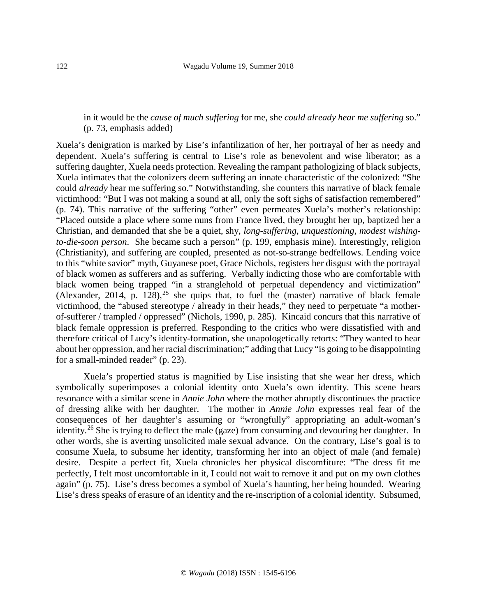# in it would be the *cause of much suffering* for me, she *could already hear me suffering* so." (p. 73, emphasis added)

Xuela's denigration is marked by Lise's infantilization of her, her portrayal of her as needy and dependent. Xuela's suffering is central to Lise's role as benevolent and wise liberator; as a suffering daughter, Xuela needs protection. Revealing the rampant pathologizing of black subjects, Xuela intimates that the colonizers deem suffering an innate characteristic of the colonized: "She could *already* hear me suffering so." Notwithstanding, she counters this narrative of black female victimhood: "But I was not making a sound at all, only the soft sighs of satisfaction remembered" (p. 74). This narrative of the suffering "other" even permeates Xuela's mother's relationship: "Placed outside a place where some nuns from France lived, they brought her up, baptized her a Christian, and demanded that she be a quiet, shy, *long-suffering*, *unquestioning, modest wishingto-die-soon person*. She became such a person" (p. 199, emphasis mine). Interestingly, religion (Christianity), and suffering are coupled, presented as not-so-strange bedfellows. Lending voice to this "white savior" myth, Guyanese poet, Grace Nichols, registers her disgust with the portrayal of black women as sufferers and as suffering. Verbally indicting those who are comfortable with black women being trapped "in a stranglehold of perpetual dependency and victimization" (Alexander, 2014, p.  $128$ ),<sup>[25](#page-22-12)</sup> she quips that, to fuel the (master) narrative of black female victimhood, the "abused stereotype / already in their heads," they need to perpetuate "a motherof-sufferer / trampled / oppressed" (Nichols, 1990, p. 285). Kincaid concurs that this narrative of black female oppression is preferred. Responding to the critics who were dissatisfied with and therefore critical of Lucy's identity-formation, she unapologetically retorts: "They wanted to hear about her oppression, and her racial discrimination;" adding that Lucy "is going to be disappointing for a small-minded reader" (p. 23).

Xuela's propertied status is magnified by Lise insisting that she wear her dress, which symbolically superimposes a colonial identity onto Xuela's own identity. This scene bears resonance with a similar scene in *Annie John* where the mother abruptly discontinues the practice of dressing alike with her daughter. The mother in *Annie John* expresses real fear of the consequences of her daughter's assuming or "wrongfully" appropriating an adult-woman's identity.<sup>[26](#page-22-13)</sup> She is trying to deflect the male (gaze) from consuming and devouring her daughter. In other words, she is averting unsolicited male sexual advance. On the contrary, Lise's goal is to consume Xuela, to subsume her identity, transforming her into an object of male (and female) desire. Despite a perfect fit, Xuela chronicles her physical discomfiture: "The dress fit me perfectly, I felt most uncomfortable in it, I could not wait to remove it and put on my own clothes again" (p. 75). Lise's dress becomes a symbol of Xuela's haunting, her being hounded. Wearing Lise's dress speaks of erasure of an identity and the re-inscription of a colonial identity. Subsumed,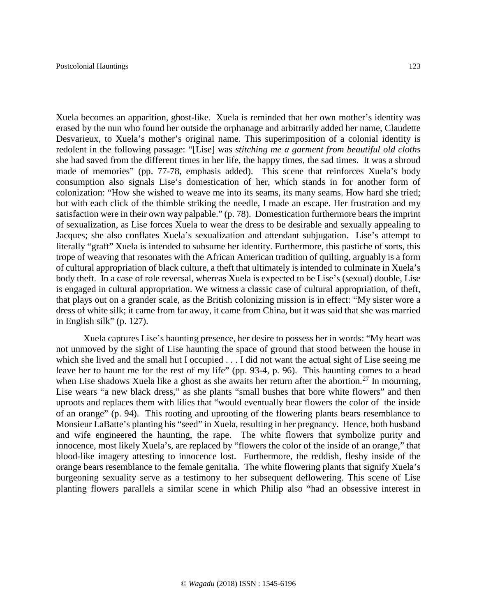Xuela becomes an apparition, ghost-like. Xuela is reminded that her own mother's identity was erased by the nun who found her outside the orphanage and arbitrarily added her name, Claudette Desvarieux, to Xuela's mother's original name. This superimposition of a colonial identity is redolent in the following passage: "[Lise] was *stitching me a garment from beautiful old cloths*  she had saved from the different times in her life, the happy times, the sad times. It was a shroud made of memories" (pp. 77-78, emphasis added). This scene that reinforces Xuela's body consumption also signals Lise's domestication of her, which stands in for another form of colonization: "How she wished to weave me into its seams, its many seams. How hard she tried; but with each click of the thimble striking the needle, I made an escape. Her frustration and my satisfaction were in their own way palpable." (p. 78). Domestication furthermore bears the imprint of sexualization, as Lise forces Xuela to wear the dress to be desirable and sexually appealing to Jacques; she also conflates Xuela's sexualization and attendant subjugation. Lise's attempt to literally "graft" Xuela is intended to subsume her identity. Furthermore, this pastiche of sorts, this trope of weaving that resonates with the African American tradition of quilting, arguably is a form of cultural appropriation of black culture, a theft that ultimately is intended to culminate in Xuela's body theft. In a case of role reversal, whereas Xuela is expected to be Lise's (sexual) double, Lise is engaged in cultural appropriation. We witness a classic case of cultural appropriation, of theft, that plays out on a grander scale, as the British colonizing mission is in effect: "My sister wore a dress of white silk; it came from far away, it came from China, but it was said that she was married in English silk" (p. 127).

Xuela captures Lise's haunting presence, her desire to possess her in words: "My heart was not unmoved by the sight of Lise haunting the space of ground that stood between the house in which she lived and the small hut I occupied . . . I did not want the actual sight of Lise seeing me leave her to haunt me for the rest of my life" (pp. 93-4, p. 96). This haunting comes to a head when Lise shadows Xuela like a ghost as she awaits her return after the abortion.<sup>[27](#page-23-0)</sup> In mourning, Lise wears "a new black dress," as she plants "small bushes that bore white flowers" and then uproots and replaces them with lilies that "would eventually bear flowers the color of the inside of an orange" (p. 94). This rooting and uprooting of the flowering plants bears resemblance to Monsieur LaBatte's planting his "seed" in Xuela, resulting in her pregnancy. Hence, both husband and wife engineered the haunting, the rape. The white flowers that symbolize purity and innocence, most likely Xuela's, are replaced by "flowers the color of the inside of an orange," that blood-like imagery attesting to innocence lost. Furthermore, the reddish, fleshy inside of the orange bears resemblance to the female genitalia. The white flowering plants that signify Xuela's burgeoning sexuality serve as a testimony to her subsequent deflowering. This scene of Lise planting flowers parallels a similar scene in which Philip also "had an obsessive interest in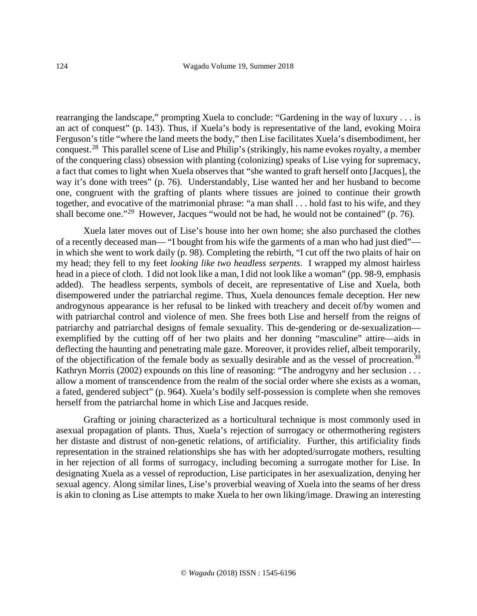rearranging the landscape," prompting Xuela to conclude: "Gardening in the way of luxury . . . is an act of conquest" (p. 143). Thus, if Xuela's body is representative of the land, evoking Moira Ferguson's title "where the land meets the body," then Lise facilitates Xuela's disembodiment, her conquest.[28](#page-23-1) This parallel scene of Lise and Philip's (strikingly, his name evokes royalty, a member of the conquering class) obsession with planting (colonizing) speaks of Lise vying for supremacy, a fact that comes to light when Xuela observes that "she wanted to graft herself onto [Jacques], the way it's done with trees" (p. 76). Understandably, Lise wanted her and her husband to become one, congruent with the grafting of plants where tissues are joined to continue their growth together, and evocative of the matrimonial phrase: "a man shall . . . hold fast to his wife, and they shall become one."<sup>[29](#page-23-2)</sup> However, Jacques "would not be had, he would not be contained" (p. 76).

Xuela later moves out of Lise's house into her own home; she also purchased the clothes of a recently deceased man— "I bought from his wife the garments of a man who had just died" in which she went to work daily (p. 98). Completing the rebirth, "I cut off the two plaits of hair on my head; they fell to my feet *looking like two headless serpents*. I wrapped my almost hairless head in a piece of cloth. I did not look like a man, I did not look like a woman" (pp. 98-9, emphasis added). The headless serpents, symbols of deceit, are representative of Lise and Xuela, both disempowered under the patriarchal regime. Thus, Xuela denounces female deception. Her new androgynous appearance is her refusal to be linked with treachery and deceit of/by women and with patriarchal control and violence of men. She frees both Lise and herself from the reigns of patriarchy and patriarchal designs of female sexuality. This de-gendering or de-sexualization exemplified by the cutting off of her two plaits and her donning "masculine" attire—aids in deflecting the haunting and penetrating male gaze. Moreover, it provides relief, albeit temporarily, of the objectification of the female body as sexually desirable and as the vessel of procreation.<sup>[30](#page-23-3)</sup> Kathryn Morris (2002) expounds on this line of reasoning: "The androgyny and her seclusion ... allow a moment of transcendence from the realm of the social order where she exists as a woman, a fated, gendered subject" (p. 964). Xuela's bodily self-possession is complete when she removes herself from the patriarchal home in which Lise and Jacques reside.

Grafting or joining characterized as a horticultural technique is most commonly used in asexual propagation of plants. Thus, Xuela's rejection of surrogacy or othermothering registers her distaste and distrust of non-genetic relations, of artificiality. Further, this artificiality finds representation in the strained relationships she has with her adopted/surrogate mothers, resulting in her rejection of all forms of surrogacy, including becoming a surrogate mother for Lise. In designating Xuela as a vessel of reproduction, Lise participates in her asexualization, denying her sexual agency. Along similar lines, Lise's proverbial weaving of Xuela into the seams of her dress is akin to cloning as Lise attempts to make Xuela to her own liking/image. Drawing an interesting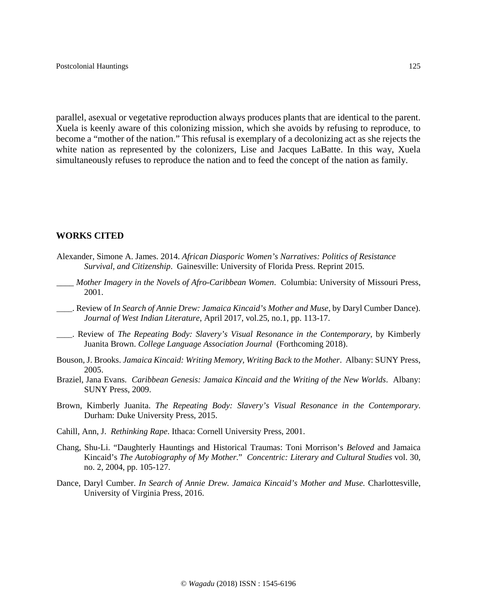parallel, asexual or vegetative reproduction always produces plants that are identical to the parent. Xuela is keenly aware of this colonizing mission, which she avoids by refusing to reproduce, to become a "mother of the nation." This refusal is exemplary of a decolonizing act as she rejects the white nation as represented by the colonizers, Lise and Jacques LaBatte. In this way, Xuela simultaneously refuses to reproduce the nation and to feed the concept of the nation as family.

#### **WORKS CITED**

- Alexander, Simone A. James. 2014. *African Diasporic Women's Narratives: Politics of Resistance Survival, and Citizenship*. Gainesville: University of Florida Press. Reprint 2015.
- \_\_\_\_ *Mother Imagery in the Novels of Afro-Caribbean Women*. Columbia: University of Missouri Press, 2001.
- \_\_\_\_. Review of *In Search of Annie Drew: Jamaica Kincaid's Mother and Muse*, by Daryl Cumber Dance). *Journal of West Indian Literature*, April 2017, vol.25, no.1, pp. 113-17.
- \_\_\_\_. Review of *The Repeating Body: Slavery's Visual Resonance in the Contemporary*, by Kimberly Juanita Brown. *College Language Association Journal* (Forthcoming 2018).
- Bouson, J. Brooks. *Jamaica Kincaid: Writing Memory, Writing Back to the Mother*. Albany: SUNY Press, 2005.
- Braziel, Jana Evans. *Caribbean Genesis: Jamaica Kincaid and the Writing of the New Worlds*. Albany: SUNY Press, 2009.
- Brown, Kimberly Juanita. *The Repeating Body: Slavery's Visual Resonance in the Contemporary*. Durham: Duke University Press, 2015.
- Cahill, Ann, J. *Rethinking Rape*. Ithaca: Cornell University Press, 2001.
- Chang, Shu-Li. "Daughterly Hauntings and Historical Traumas: Toni Morrison's *Beloved* and Jamaica Kincaid's *The Autobiography of My Mother*." *Concentric: Literary and Cultural Studies* vol. 30, no. 2, 2004, pp. 105-127.
- Dance, Daryl Cumber. *In Search of Annie Drew. Jamaica Kincaid's Mother and Muse*. Charlottesville, University of Virginia Press, 2016.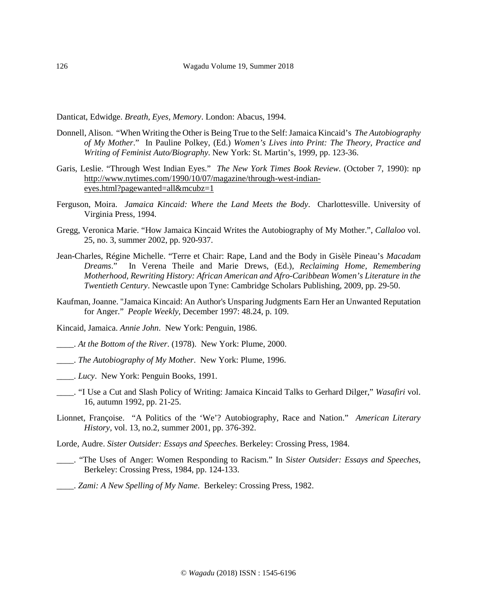Danticat, Edwidge. *Breath, Eyes, Memory*. London: Abacus, 1994.

- Donnell, Alison. "When Writing the Other is Being True to the Self: Jamaica Kincaid's *The Autobiography of My Mother*." In Pauline Polkey, (Ed.) *Women's Lives into Print: The Theory, Practice and Writing of Feminist Auto/Biography*. New York: St. Martin's, 1999, pp. 123-36.
- Garis, Leslie. "Through West Indian Eyes." *The New York Times Book Review*. (October 7, 1990): np [http://www.nytimes.com/1990/10/07/magazine/through-west-indian](http://www.nytimes.com/1990/10/07/magazine/through-west-indian-eyes.html?pagewanted=all&mcubz=1)[eyes.html?pagewanted=all&mcubz=1](http://www.nytimes.com/1990/10/07/magazine/through-west-indian-eyes.html?pagewanted=all&mcubz=1)
- Ferguson, Moira. *Jamaica Kincaid: Where the Land Meets the Body*. Charlottesville. University of Virginia Press, 1994.
- Gregg, Veronica Marie. "How Jamaica Kincaid Writes the Autobiography of My Mother.", *Callaloo* vol. 25, no. 3, summer 2002, pp. 920-937.
- Jean-Charles, Régine Michelle. "Terre et Chair: Rape, Land and the Body in Gisèle Pineau's *Macadam Dreams*." In Verena Theile and Marie Drews, (Ed.), *Reclaiming Home, Remembering Motherhood, Rewriting History: African American and Afro-Caribbean Women's Literature in the Twentieth Century*. Newcastle upon Tyne: Cambridge Scholars Publishing, 2009, pp. 29-50.
- Kaufman, Joanne. "Jamaica Kincaid: An Author's Unsparing Judgments Earn Her an Unwanted Reputation for Anger." *People Weekly,* December 1997: 48.24, p. 109.
- Kincaid, Jamaica. *Annie John*. New York: Penguin, 1986.
- \_\_\_\_. *At the Bottom of the River*. (1978). New York: Plume, 2000.
- \_\_\_\_. *The Autobiography of My Mother*. New York: Plume, 1996.
- \_\_\_\_. *Lucy*. New York: Penguin Books, 1991.
- \_\_\_\_. "I Use a Cut and Slash Policy of Writing: Jamaica Kincaid Talks to Gerhard Dilger," *Wasafiri* vol. 16, autumn 1992, pp. 21-25.
- Lionnet, Françoise. "A Politics of the 'We'? Autobiography, Race and Nation." *American Literary History,* vol. 13, no.2, summer 2001, pp. 376-392.
- Lorde, Audre. *Sister Outsider: Essays and Speeches*. Berkeley: Crossing Press, 1984.
- \_\_\_\_. "The Uses of Anger: Women Responding to Racism." In *Sister Outsider: Essays and Speeches*, Berkeley: Crossing Press, 1984, pp. 124-133.
- \_\_\_\_. *Zami: A New Spelling of My Name*. Berkeley: Crossing Press, 1982.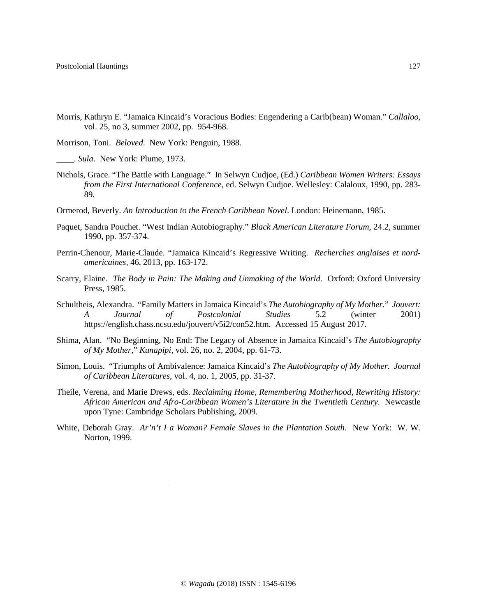$\overline{\phantom{a}}$ 

Morris, Kathryn E. "Jamaica Kincaid's Voracious Bodies: Engendering a Carib(bean) Woman." *Callaloo,* vol. 25, no 3, summer 2002, pp. 954-968.

Morrison, Toni. *Beloved*. New York: Penguin, 1988.

\_\_\_\_. *Sula*. New York: Plume, 1973.

- Nichols, Grace. "The Battle with Language." In Selwyn Cudjoe, (Ed.) *Caribbean Women Writers: Essays from the First International Conference*, ed. Selwyn Cudjoe. Wellesley: Calaloux, 1990, pp. 283- 89.
- Ormerod, Beverly. *An Introduction to the French Caribbean Novel*. London: Heinemann, 1985.
- Paquet, Sandra Pouchet. "West Indian Autobiography." *Black American Literature Forum,* 24.2, summer 1990, pp. 357-374.
- Perrin-Chenour, Marie-Claude. "Jamaica Kincaid's Regressive Writing. *Recherches anglaises et nordamericaines,* 46, 2013, pp. 163-172.
- Scarry, Elaine. *The Body in Pain: The Making and Unmaking of the World*. Oxford: Oxford University Press, 1985.
- Schultheis, Alexandra. "Family Matters in Jamaica Kincaid's *The Autobiography of My Mother*." *Jouvert: A Journal of Postcolonial Studies* 5.2 (winter 2001) [https://english.chass.ncsu.edu/jouvert/v5i2/con52.htm.](https://english.chass.ncsu.edu/jouvert/v5i2/con52.htm) Accessed 15 August 2017.
- Shima, Alan. "No Beginning, No End: The Legacy of Absence in Jamaica Kincaid's *The Autobiography of My Mother*," *Kunapipi,* vol. 26, no. 2, 2004, pp. 61-73.
- Simon, Louis. "Triumphs of Ambivalence: Jamaica Kincaid's *The Autobiography of My Mother. Journal of Caribbean Literatures,* vol. 4, no. 1, 2005, pp. 31-37.
- Theile, Verena, and Marie Drews, eds. *Reclaiming Home, Remembering Motherhood, Rewriting History: African American and Afro-Caribbean Women's Literature in the Twentieth Century*. Newcastle upon Tyne: Cambridge Scholars Publishing, 2009.
- White, Deborah Gray. *Ar'n't I a Woman? Female Slaves in the Plantation South*. New York: W. W. Norton, 1999.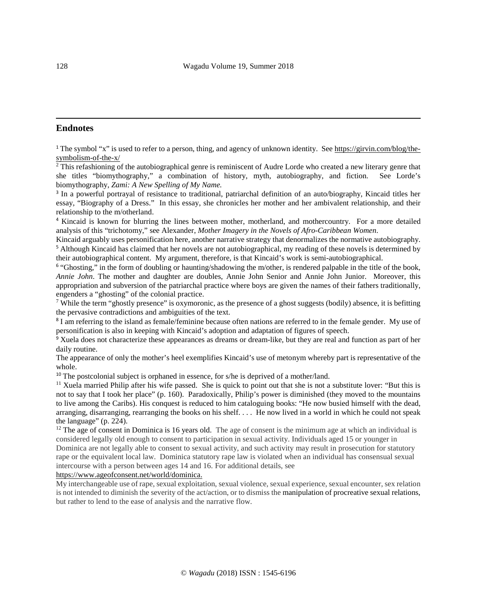## <span id="page-21-0"></span>**Endnotes**

<sup>1</sup> The symbol "x" is used to refer to a person, thing, and agency of unknown identity. Se[e https://girvin.com/blog/the](https://girvin.com/blog/the-symbolism-of-the-x/)[symbolism-of-the-x/](https://girvin.com/blog/the-symbolism-of-the-x/)

<span id="page-21-1"></span> $\frac{2}{3}$ This refashioning of the autobiographical genre is reminiscent of Audre Lorde who created a new literary genre that she titles "biomythography," a combination of history, myth, autobiography, and fiction. See Lorde's biomythography, *Zami: A New Spelling of My Name.*

<span id="page-21-2"></span><sup>3</sup> In a powerful portrayal of resistance to traditional, patriarchal definition of an auto/biography, Kincaid titles her essay, "Biography of a Dress." In this essay, she chronicles her mother and her ambivalent relationship, and their relationship to the m/otherland.

<span id="page-21-3"></span><sup>4</sup> Kincaid is known for blurring the lines between mother, motherland, and mothercountry. For a more detailed analysis of this "trichotomy," see Alexander, *Mother Imagery in the Novels of Afro-Caribbean Women*.

<span id="page-21-4"></span>Kincaid arguably uses personification here, another narrative strategy that denormalizes the normative autobiography. <sup>5</sup> Although Kincaid has claimed that her novels are not autobiographical, my reading of these novels is determined by their autobiographical content. My argument, therefore, is that Kincaid's work is semi-autobiographical.

<span id="page-21-5"></span><sup>6</sup> "Ghosting," in the form of doubling or haunting/shadowing the m/other, is rendered palpable in the title of the book, *Annie John*. The mother and daughter are doubles, Annie John Senior and Annie John Junior. Moreover, this appropriation and subversion of the patriarchal practice where boys are given the names of their fathers traditionally, engenders a "ghosting" of the colonial practice.<br><sup>7</sup> While the term "ghostly presence" is oxymoronic, as the presence of a ghost suggests (bodily) absence, it is befitting

<span id="page-21-6"></span>the pervasive contradictions and ambiguities of the text.

<span id="page-21-7"></span><sup>8</sup> I am referring to the island as female/feminine because often nations are referred to in the female gender. My use of personification is also in keeping with Kincaid's adoption and adaptation of figures of speech.

<span id="page-21-8"></span><sup>9</sup> Xuela does not characterize these appearances as dreams or dream-like, but they are real and function as part of her daily routine.

The appearance of only the mother's heel exemplifies Kincaid's use of metonym whereby part is representative of the whole.

<span id="page-21-10"></span><span id="page-21-9"></span><sup>10</sup> The postcolonial subject is orphaned in essence, for s/he is deprived of a mother/land.<br><sup>11</sup> Xuela married Philip after his wife passed. She is quick to point out that she is not a substitute lover: "But this is not to say that I took her place" (p. 160). Paradoxically, Philip's power is diminished (they moved to the mountains to live among the Caribs). His conquest is reduced to him cataloguing books: "He now busied himself with the dead, arranging, disarranging, rearranging the books on his shelf. . . . He now lived in a world in which he could not speak the language" (p. 224).

<span id="page-21-11"></span> $12$  The age of consent in Dominica is 16 years old. The age of consent is the minimum age at which an individual is considered legally old enough to consent to participation in sexual activity. Individuals aged 15 or younger in Dominica are not legally able to consent to sexual activity, and such activity may result in prosecution for statutory rape or the equivalent local law. Dominica statutory rape law is violated when an individual has consensual sexual intercourse with a person between ages 14 and 16. For additional details, see

[https://www.ageofconsent.net/world/dominica.](https://www.ageofconsent.net/world/dominica)

My interchangeable use of rape, sexual exploitation, sexual violence, sexual experience, sexual encounter, sex relation is not intended to diminish the severity of the act/action, or to dismiss the manipulation of procreative sexual relations, but rather to lend to the ease of analysis and the narrative flow.

 $\overline{\phantom{a}}$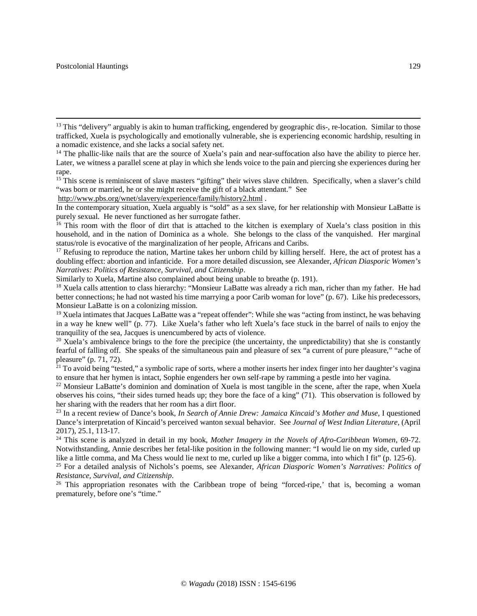$\overline{\phantom{a}}$ 

<http://www.pbs.org/wnet/slavery/experience/family/history2.html> .

<span id="page-22-4"></span><sup>17</sup> Refusing to reproduce the nation, Martine takes her unborn child by killing herself. Here, the act of protest has a doubling effect: abortion and infanticide. For a more detailed discussion, see Alexander, *African Diasporic Women's Narratives: Politics of Resistance, Survival, and Citizenship*.

Similarly to Xuela, Martine also complained about being unable to breathe (p. 191).

<span id="page-22-5"></span><sup>18</sup> Xuela calls attention to class hierarchy: "Monsieur LaBatte was already a rich man, richer than my father. He had better connections; he had not wasted his time marrying a poor Carib woman for love" (p. 67). Like his predecessors, Monsieur LaBatte is on a colonizing mission.

<span id="page-22-6"></span><sup>19</sup> Xuela intimates that Jacques LaBatte was a "repeat offender": While she was "acting from instinct, he was behaving in a way he knew well" (p. 77). Like Xuela's father who left Xuela's face stuck in the barrel of nails to enjoy the tranquility of the sea, Jacques is unencumbered by acts of violence.

<span id="page-22-7"></span> $20$  Xuela's ambivalence brings to the fore the precipice (the uncertainty, the unpredictability) that she is constantly fearful of falling off. She speaks of the simultaneous pain and pleasure of sex "a current of pure pleasure," "ache of pleasure" (p. 71, 72).

<span id="page-22-8"></span> $^{21}$  To avoid being "tested," a symbolic rape of sorts, where a mother inserts her index finger into her daughter's vagina to ensure that her hymen is intact. Sophie engenders her own self-rape by ramming a pestle into

<span id="page-22-9"></span><sup>22</sup> Monsieur LaBatte's dominion and domination of Xuela is most tangible in the scene, after the rape, when Xuela observes his coins, "their sides turned heads up; they bore the face of a king" (71). This observation is followed by her sharing with the readers that her room has a dirt floor.

<span id="page-22-10"></span><sup>23</sup> In a recent review of Dance's book, *In Search of Annie Drew: Jamaica Kincaid's Mother and Muse*, I questioned Dance's interpretation of Kincaid's perceived wanton sexual behavior. See *Journal of West Indian Literature,* (April 2017), 25.1, 113-17.

<span id="page-22-11"></span><sup>24</sup> This scene is analyzed in detail in my book, *Mother Imagery in the Novels of Afro-Caribbean Women*, 69-72. Notwithstanding, Annie describes her fetal-like position in the following manner: "I would lie on my side, curled up like a little comma, and Ma Chess would lie next to me, curled up like a bigger comma, into which I fit"

<span id="page-22-12"></span><sup>25</sup> For a detailed analysis of Nichols's poems, see Alexander, *African Diasporic Women's Narratives: Politics of Resistance, Survival, and Citizenship.*<br><sup>26</sup> This appropriation resonates with the Caribbean trope of being "forced-ripe,' that is, becoming a woman

<span id="page-22-13"></span>prematurely, before one's "time."

<span id="page-22-0"></span> $<sup>13</sup>$  This "delivery" arguably is akin to human trafficking, engendered by geographic dis-, re-location. Similar to those</sup> trafficked, Xuela is psychologically and emotionally vulnerable, she is experiencing economic hardship, resulting in a nomadic existence, and she lacks a social safety net.

<span id="page-22-1"></span><sup>&</sup>lt;sup>14</sup> The phallic-like nails that are the source of Xuela's pain and near-suffocation also have the ability to pierce her. Later, we witness a parallel scene at play in which she lends voice to the pain and piercing she experiences during her rape.

<span id="page-22-2"></span><sup>&</sup>lt;sup>15</sup> This scene is reminiscent of slave masters "gifting" their wives slave children. Specifically, when a slaver's child "was born or married, he or she might receive the gift of a black attendant." See

In the contemporary situation, Xuela arguably is "sold" as a sex slave, for her relationship with Monsieur LaBatte is purely sexual. He never functioned as her surrogate father.

<span id="page-22-3"></span><sup>&</sup>lt;sup>16</sup> This room with the floor of dirt that is attached to the kitchen is exemplary of Xuela's class position in this household, and in the nation of Dominica as a whole. She belongs to the class of the vanquished. Her marginal status/role is evocative of the marginalization of her people, Africans and Caribs.